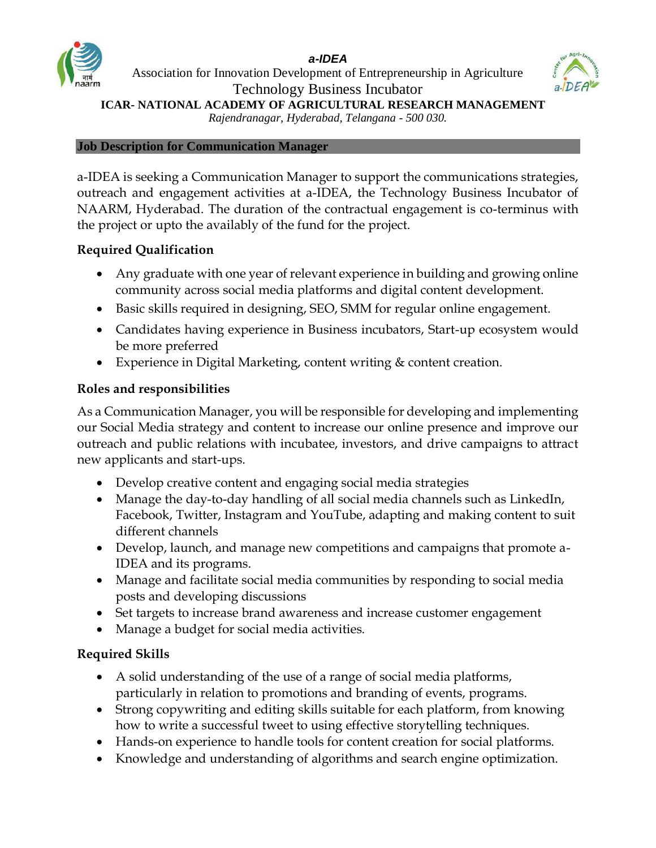#### *a-IDEA*



Association for Innovation Development of Entrepreneurship in Agriculture Technology Business Incubator **ICAR- NATIONAL ACADEMY OF AGRICULTURAL RESEARCH MANAGEMENT**



*Rajendranagar, Hyderabad, Telangana - 500 030.*

#### **Job Description for Communication Manager**

a-IDEA is seeking a Communication Manager to support the communications strategies, outreach and engagement activities at a-IDEA, the Technology Business Incubator of NAARM, Hyderabad. The duration of the contractual engagement is co-terminus with the project or upto the availably of the fund for the project.

### **Required Qualification**

- Any graduate with one year of relevant experience in building and growing online community across social media platforms and digital content development.
- Basic skills required in designing, SEO, SMM for regular online engagement.
- Candidates having experience in Business incubators, Start-up ecosystem would be more preferred
- Experience in Digital Marketing, content writing & content creation.

# **Roles and responsibilities**

As a Communication Manager, you will be responsible for developing and implementing our Social Media strategy and content to increase our online presence and improve our outreach and public relations with incubatee, investors, and drive campaigns to attract new applicants and start-ups.

- Develop creative content and engaging social media strategies
- Manage the day-to-day handling of all social media channels such as LinkedIn, Facebook, Twitter, Instagram and YouTube, adapting and making content to suit different channels
- Develop, launch, and manage new competitions and campaigns that promote a-IDEA and its programs.
- Manage and facilitate social media communities by responding to social media posts and developing discussions
- Set targets to increase brand awareness and increase customer engagement
- Manage a budget for social media activities.

# **Required Skills**

- A solid understanding of the use of a range of social media platforms, particularly in relation to promotions and branding of events, programs.
- Strong copywriting and editing skills suitable for each platform, from knowing how to write a successful tweet to using effective storytelling techniques.
- Hands-on experience to handle tools for content creation for social platforms.
- Knowledge and understanding of algorithms and search engine optimization.